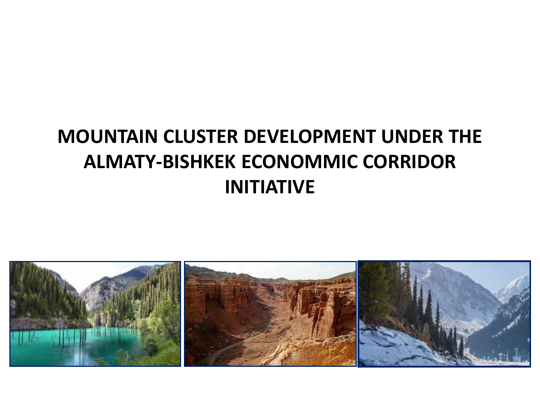# **MOUNTAIN CLUSTER DEVELOPMENT UNDER THE ALMATY-BISHKEK ECONOMMIC CORRIDOR INITIATIVE**

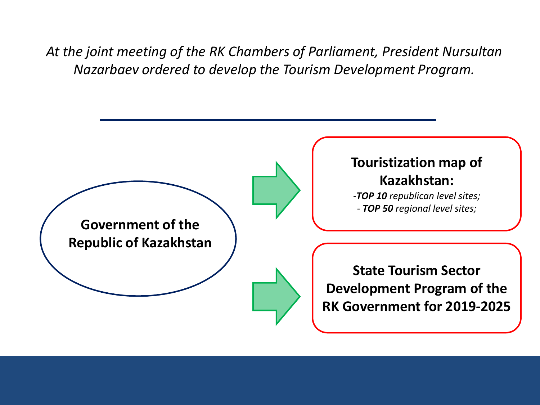*At the joint meeting of the RK Chambers of Parliament, President Nursultan Nazarbaev ordered to develop the Tourism Development Program.*

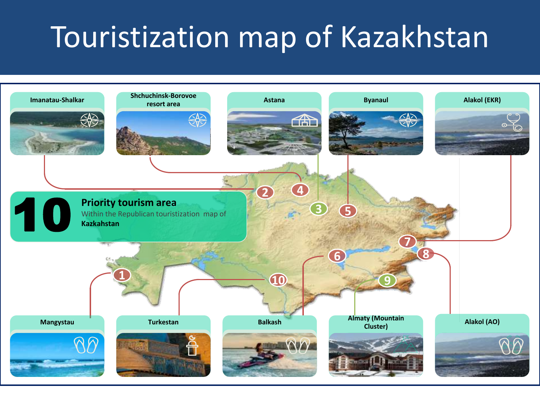# Touristization map of Kazakhstan

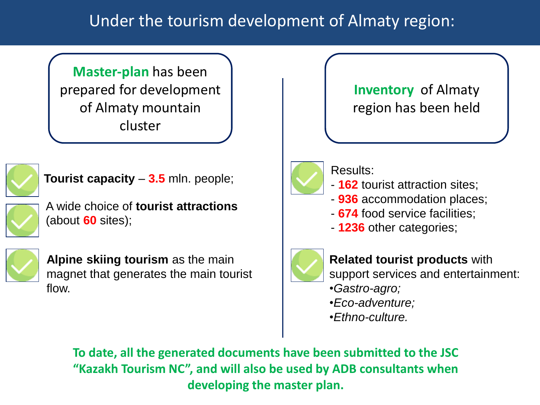### Under the tourism development of Almaty region:

**Master-plan** has been prepared for development of Almaty mountain cluster



**Tourist capacity** – **3.5** mln. people;

A wide choice of **tourist attractions** (about **60** sites);



**Alpine skiing tourism** as the main magnet that generates the main tourist flow.

**Inventory** of Almaty region has been held



Results:

- **162** tourist attraction sites;
- **936** accommodation places;
- **674** food service facilities;
- **1236** other categories;



**Related tourist products** with support services and entertainment:

- •*Gastro-agro;*
- •*Eco-adventure;*
- •*Ethno-culture.*

**To date, all the generated documents have been submitted to the JSC "Kazakh Tourism NC", and will also be used by ADB consultants when developing the master plan.**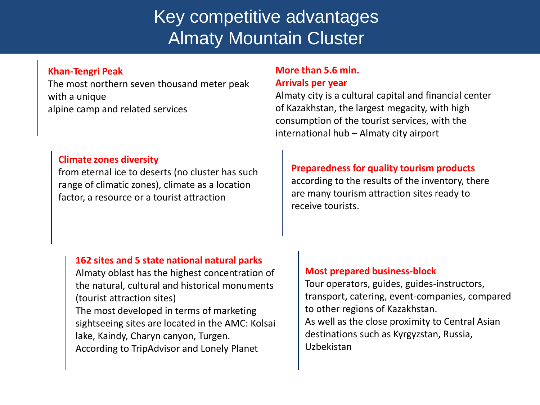# Key competitive advantages Almaty Mountain Cluster

#### **Khan-Tengri Peak**

The most northern seven thousand meter peak with a unique alpine camp and related services

#### **Climate zones diversity**

from eternal ice to deserts (no cluster has such range of climatic zones), climate as a location factor, a resource or a tourist attraction

#### **162 sites and 5 state national natural parks**

Almaty oblast has the highest concentration of the natural, cultural and historical monuments (tourist attraction sites)

The most developed in terms of marketing sightseeing sites are located in the AMC: Kolsai lake, Kaindy, Charyn canyon, Turgen. According to TripAdvisor and Lonely Planet

#### **More than 5.6 mln. Arrivals per year**

Almaty city is a cultural capital and financial center of Kazakhstan, the largest megacity, with high consumption of the tourist services, with the international hub – Almaty city airport

#### **Preparedness for quality tourism products**

according to the results of the inventory, there are many tourism attraction sites ready to receive tourists.

#### **Most prepared business-block**

Tour operators, guides, guides-instructors, transport, catering, event-companies, compared to other regions of Kazakhstan. As well as the close proximity to Central Asian destinations such as Kyrgyzstan, Russia, Uzbekistan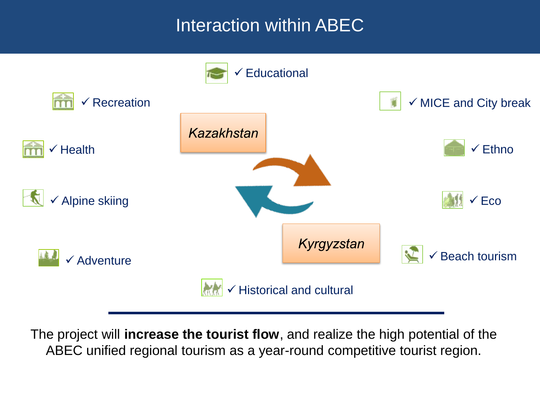# Interaction within ABEC



The project will **increase the tourist flow**, and realize the high potential of the ABEC unified regional tourism as a year-round competitive tourist region.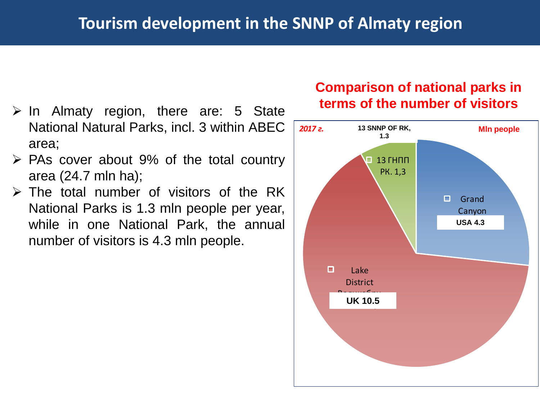- $\ge$  In Almaty region, there are: 5 State National Natural Parks, incl. 3 within ABEC area;
- $\triangleright$  PAs cover about 9% of the total country area (24.7 mln ha);
- $\triangleright$  The total number of visitors of the RK National Parks is 1.3 mln people per year, while in one National Park, the annual number of visitors is 4.3 mln people.

### **Comparison of national parks in terms of the number of visitors**

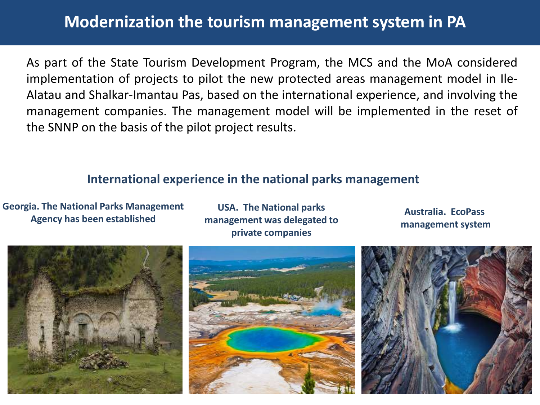### **Modernization the tourism management system in PA**

As part of the State Tourism Development Program, the MCS and the MoA considered implementation of projects to pilot the new protected areas management model in Ile-Alatau and Shalkar-Imantau Pas, based on the international experience, and involving the management companies. The management model will be implemented in the reset of the SNNP on the basis of the pilot project results.

### **International experience in the national parks management**

**Georgia. The National Parks Management Agency has been established** 

**USA. The National parks management was delegated to private companies**

**Australia. EcoPass management system**

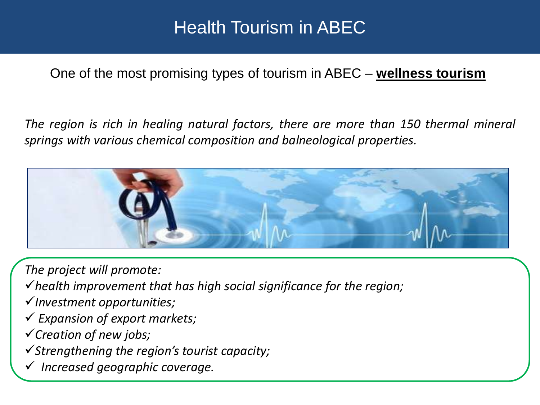## Health Tourism in ABEC

### One of the most promising types of tourism in ABEC – **wellness tourism**

*The region is rich in healing natural factors, there are more than 150 thermal mineral springs with various chemical composition and balneological properties.*



*The project will promote:*

- *health improvement that has high social significance for the region;*
- *Investment opportunities;*
- *Expansion of export markets;*
- *Creation of new jobs;*
- *Strengthening the region's tourist capacity;*
- *Increased geographic coverage.*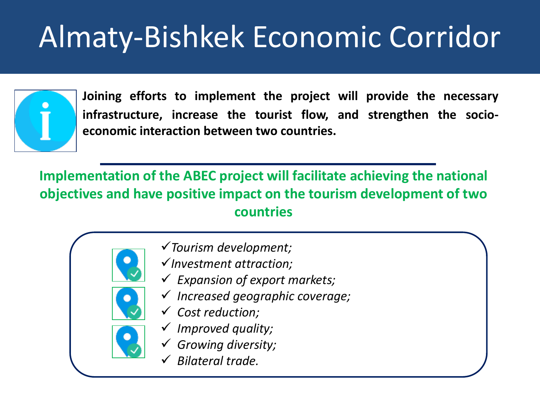# Almaty-Bishkek Economic Corridor



**Joining efforts to implement the project will provide the necessary infrastructure, increase the tourist flow, and strengthen the socioeconomic interaction between two countries.**

**Implementation of the ABEC project will facilitate achieving the national objectives and have positive impact on the tourism development of two countries**

- - *Tourism development;*
	- *Investment attraction;*
	- *Expansion of export markets;*
	- *Increased geographic coverage;*
	- *Cost reduction;*
	- *Improved quality;*
	- *Growing diversity;*
	- *Bilateral trade.*